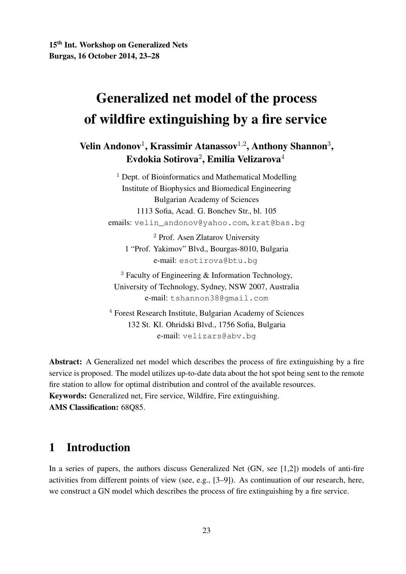# Generalized net model of the process of wildfire extinguishing by a fire service

Velin Andonov<sup>1</sup>, Krassimir Atanassov<sup>1,2</sup>, Anthony Shannon<sup>3</sup>, Evdokia Sotirova $^2$ , Emilia Velizarova $^4$ 

> <sup>1</sup> Dept. of Bioinformatics and Mathematical Modelling Institute of Biophysics and Biomedical Engineering Bulgarian Academy of Sciences 1113 Sofia, Acad. G. Bonchev Str., bl. 105 emails: velin\_andonov@yahoo.com, krat@bas.bg

<sup>2</sup> Prof. Asen Zlatarov University 1 "Prof. Yakimov" Blvd., Bourgas-8010, Bulgaria e-mail: esotirova@btu.bg

 $3$  Faculty of Engineering & Information Technology, University of Technology, Sydney, NSW 2007, Australia e-mail: tshannon38@gmail.com

<sup>4</sup> Forest Research Institute, Bulgarian Academy of Sciences 132 St. Kl. Ohridski Blvd., 1756 Sofia, Bulgaria e-mail: velizars@abv.bg

Abstract: A Generalized net model which describes the process of fire extinguishing by a fire service is proposed. The model utilizes up-to-date data about the hot spot being sent to the remote fire station to allow for optimal distribution and control of the available resources. Keywords: Generalized net, Fire service, Wildfire, Fire extinguishing. AMS Classification: 68Q85.

# 1 Introduction

In a series of papers, the authors discuss Generalized Net (GN, see [1,2]) models of anti-fire activities from different points of view (see, e.g., [3–9]). As continuation of our research, here, we construct a GN model which describes the process of fire extinguishing by a fire service.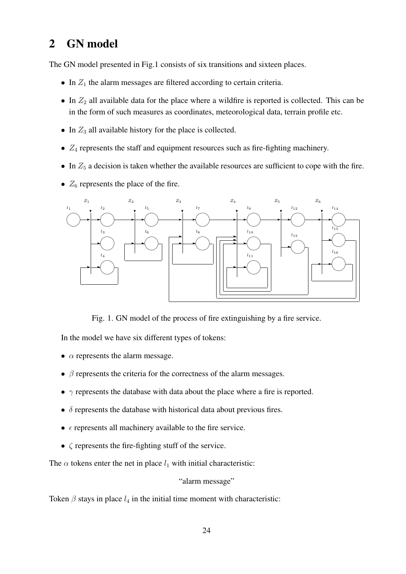# 2 GN model

The GN model presented in Fig.1 consists of six transitions and sixteen places.

- In  $Z_1$  the alarm messages are filtered according to certain criteria.
- In  $Z_2$  all available data for the place where a wildfire is reported is collected. This can be in the form of such measures as coordinates, meteorological data, terrain profile etc.
- In  $Z_3$  all available history for the place is collected.
- $Z_4$  represents the staff and equipment resources such as fire-fighting machinery.
- In  $Z_5$  a decision is taken whether the available resources are sufficient to cope with the fire.
- $Z_6$  represents the place of the fire.



Fig. 1. GN model of the process of fire extinguishing by a fire service.

In the model we have six different types of tokens:

- $\alpha$  represents the alarm message.
- $\bullet$   $\beta$  represents the criteria for the correctness of the alarm messages.
- $\gamma$  represents the database with data about the place where a fire is reported.
- $\bullet$   $\delta$  represents the database with historical data about previous fires.
- $\epsilon$  represents all machinery available to the fire service.
- $\bullet$   $\zeta$  represents the fire-fighting stuff of the service.

The  $\alpha$  tokens enter the net in place  $l_1$  with initial characteristic:

"alarm message"

Token  $\beta$  stays in place  $l_4$  in the initial time moment with characteristic: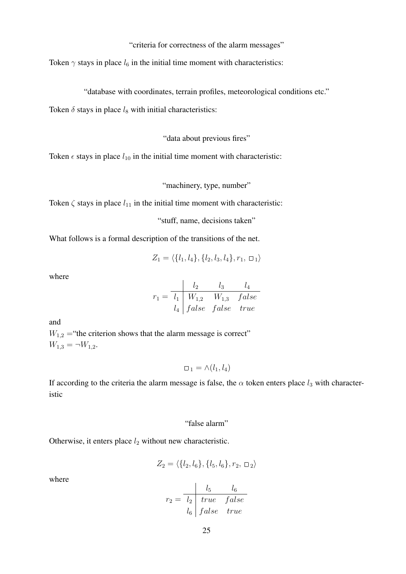"criteria for correctness of the alarm messages"

Token  $\gamma$  stays in place  $l_6$  in the initial time moment with characteristics:

"database with coordinates, terrain profiles, meteorological conditions etc."

Token  $\delta$  stays in place  $l_8$  with initial characteristics:

"data about previous fires"

Token  $\epsilon$  stays in place  $l_{10}$  in the initial time moment with characteristic:

"machinery, type, number"

Token  $\zeta$  stays in place  $l_{11}$  in the initial time moment with characteristic:

"stuff, name, decisions taken"

What follows is a formal description of the transitions of the net.

$$
Z_1 = \langle \{l_1, l_4\}, \{l_2, l_3, l_4\}, r_1, \square_1 \rangle
$$

where

$$
r_1 = \frac{\begin{vmatrix} l_2 & l_3 & l_4 \\ l_1 & W_{1,2} & W_{1,3} & false \end{vmatrix}}{\begin{vmatrix} l_4 & false & false \end{vmatrix}} \begin{vmatrix} false & false & true \end{vmatrix}
$$

and

 $W_{1,2}$  = "the criterion shows that the alarm message is correct"  $W_{1,3} = \neg W_{1,2}.$ 

 $\Box_1 = \wedge (l_1, l_4)$ 

If according to the criteria the alarm message is false, the  $\alpha$  token enters place  $l_3$  with characteristic

#### "false alarm"

Otherwise, it enters place  $l_2$  without new characteristic.

$$
Z_2 = \langle \{l_2, l_6\}, \{l_5, l_6\}, r_2, \square_2 \rangle
$$

where

$$
r_2 = \frac{\begin{array}{c|c}l_5 & l_6 \\\hline l_2 & true & false \\\end{array}}{l_6 \begin{array}{c|c}false & true \end{array}}
$$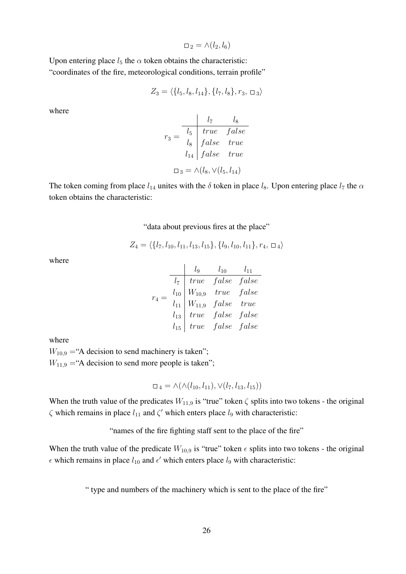$$
\Box_2 = \land (l_2, l_6)
$$

Upon entering place  $l_5$  the  $\alpha$  token obtains the characteristic: "coordinates of the fire, meteorological conditions, terrain profile"

$$
Z_3 = \langle \{l_5, l_8, l_{14}\}, \{l_7, l_8\}, r_3, \square_3 \rangle
$$

where

$$
r_3 = \frac{l_7}{l_5} \frac{l_8}{true} \frac{false}{false} true
$$

$$
l_{14} \mid false \quad true
$$

$$
\Box_3 = \land (l_8, \lor (l_5, l_{14})
$$

The token coming from place  $l_{14}$  unites with the  $\delta$  token in place  $l_8$ . Upon entering place  $l_7$  the  $\alpha$ token obtains the characteristic:

#### "data about previous fires at the place"

$$
Z_4 = \langle \{l_7, l_{10}, l_{11}, l_{13}, l_{15}\}, \{l_9, l_{10}, l_{11}\}, r_4, \square_4 \rangle
$$

where

|  |          | $l_{9}$ | $l_{10}$                                                                   | $l_{11}$ |
|--|----------|---------|----------------------------------------------------------------------------|----------|
|  | $l_7$    |         | $\begin{array}{ccc} \text{true} & \text{false} & \text{false} \end{array}$ |          |
|  | $l_{10}$ |         | $W_{10,9}$ true $false$                                                    |          |
|  |          |         | $l_{11}$   $W_{11,9}$ false true                                           |          |
|  | $l_{13}$ |         | $\begin{vmatrix} true & false & false \end{vmatrix}$                       |          |
|  | $l_{15}$ |         | $\begin{array}{ccc} true & false & false \end{array}$                      |          |

where

 $W_{10,9}$  = "A decision to send machinery is taken";  $W_{11,9}$  = "A decision to send more people is taken";

$$
\Box_4 = \land (\land (l_{10}, l_{11}), \lor (l_7, l_{13}, l_{15}))
$$

When the truth value of the predicates  $W_{11,9}$  is "true" token  $\zeta$  splits into two tokens - the original  $\zeta$  which remains in place  $l_{11}$  and  $\zeta'$  which enters place  $l_9$  with characteristic:

"names of the fire fighting staff sent to the place of the fire"

When the truth value of the predicate  $W_{10,9}$  is "true" token  $\epsilon$  splits into two tokens - the original  $\epsilon$  which remains in place  $l_{10}$  and  $\epsilon'$  which enters place  $l_9$  with characteristic:

" type and numbers of the machinery which is sent to the place of the fire"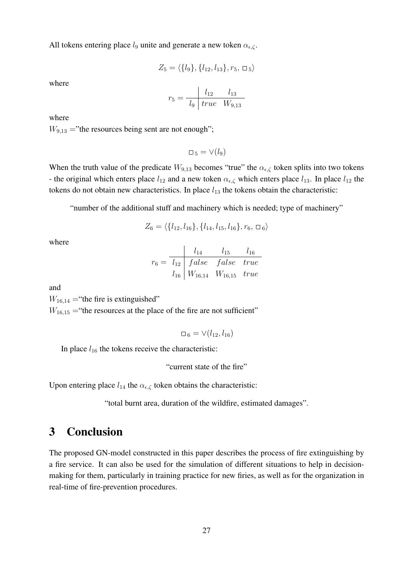All tokens entering place  $l_9$  unite and generate a new token  $\alpha_{\epsilon,\zeta}$ .

$$
Z_5 = \langle \{l_9\}, \{l_{12}, l_{13}\}, r_5, \square_5 \rangle
$$

where

$$
r_5 = \frac{l_{12} \quad l_{13}}{l_9 \mid true \quad W_{9,13}}
$$

where

 $W_{9,13}$  ="the resources being sent are not enough";

 $\Box_5 = \vee (l_9)$ 

When the truth value of the predicate  $W_{9,13}$  becomes "true" the  $\alpha_{\epsilon,\zeta}$  token splits into two tokens - the original which enters place  $l_{12}$  and a new token  $\alpha_{\epsilon,\zeta}$  which enters place  $l_{13}$ . In place  $l_{12}$  the tokens do not obtain new characteristics. In place  $l_{13}$  the tokens obtain the characteristic:

"number of the additional stuff and machinery which is needed; type of machinery"

$$
Z_6 = \langle \{l_{12}, l_{16}\}, \{l_{14}, l_{15}, l_{16}\}, r_6, \Box_6 \rangle
$$

where

$$
r_6 = \frac{l_{14}}{l_{12}} \frac{l_{14}}{false} \frac{l_{15}}{false} \frac{l_{16}}{true}
$$
  

$$
l_{16} \begin{array}{|l|l|} W_{16,14} & W_{16,15} & true \end{array}
$$

and

 $W_{16,14}$  = "the fire is extinguished"

 $W_{16,15}$  = "the resources at the place of the fire are not sufficient"

$$
\Box_6=\vee (l_{12},l_{16})
$$

In place  $l_{16}$  the tokens receive the characteristic:

"current state of the fire"

Upon entering place  $l_{14}$  the  $\alpha_{\epsilon,\zeta}$  token obtains the characteristic:

"total burnt area, duration of the wildfire, estimated damages".

## 3 Conclusion

The proposed GN-model constructed in this paper describes the process of fire extinguishing by a fire service. It can also be used for the simulation of different situations to help in decisionmaking for them, particularly in training practice for new firies, as well as for the organization in real-time of fire-prevention procedures.